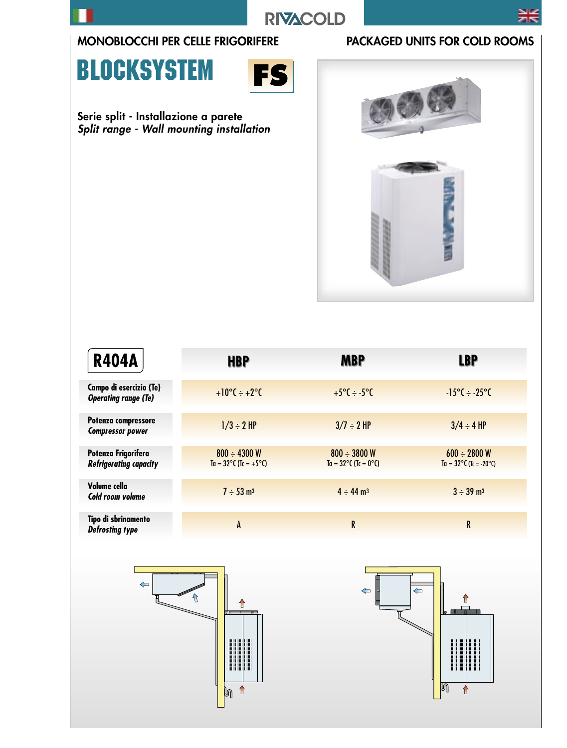**RIVACOLD** 

### MONOBLOCCHI PER CELLE FRIGORIFERE PACKAGED UNITS FOR COLD ROOMS

## **BLOCKSYSTEM**



Serie split - Installazione a parete Split range - Wall mounting installation



| <b>R404A</b>                                           | <b>HBP</b>                                                 | <b>MBP</b>                                         | <b>LBP</b>                                                  |
|--------------------------------------------------------|------------------------------------------------------------|----------------------------------------------------|-------------------------------------------------------------|
| Campo di esercizio (Te)<br><b>Operating range (Te)</b> | $+10^{\circ}C \div +2^{\circ}C$                            | $+5^{\circ}C \div -5^{\circ}C$                     | $-15^{\circ}C \div -25^{\circ}C$                            |
| Potenza compressore<br><b>Compressor power</b>         | $1/3 \div 2$ HP                                            | $3/7 \div 2$ HP                                    | $3/4 \div 4$ HP                                             |
| Potenza Frigorifera<br><b>Refrigerating capacity</b>   | $800 \div 4300$ W<br>$Ta = 32^{\circ}C (Tc = +5^{\circ}C)$ | $800 \div 3800$ W<br>$Ta = 32^{\circ}C$ (Tc = 0°C) | $600 \div 2800$ W<br>$Ta = 32^{\circ}C (Tc = -20^{\circ}C)$ |
| Volume cella<br>Cold room volume                       | $7 \div 53$ m <sup>3</sup>                                 | $4 \div 44 \text{ m}^3$                            | $3 \div 39$ m <sup>3</sup>                                  |
| Tipo di sbrinamento<br><b>Defrosting type</b>          | A                                                          | R                                                  | R                                                           |

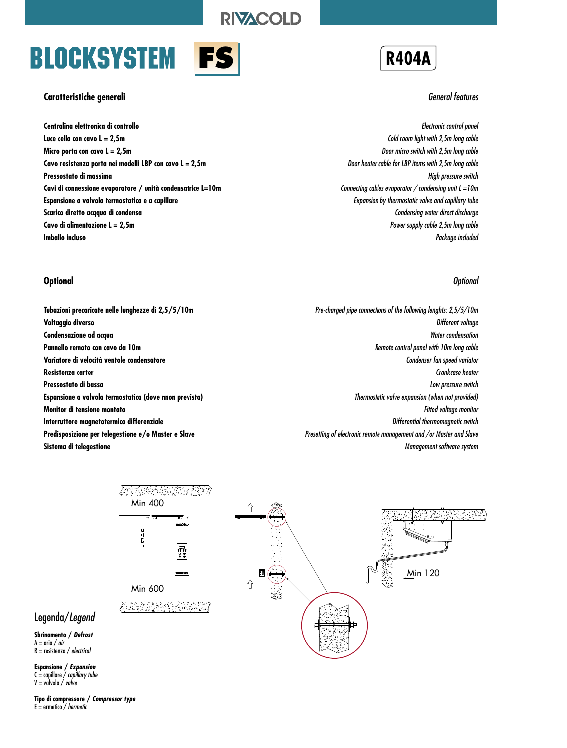**RIVACOLD** 

# **BLOCKSYSTEM**



### **Caratteristiche generali**

**Centralina elettronica di controllo Luce cella con cavo L = 2,5m Micro porta con cavo L = 2,5m Cavo resistenza porta nei modelli LBP con cavo L = 2,5m Pressostato di massima Cavi di connessione evaporatore / unità condensatrice L=10m Espansione a valvola termostatica e a capillare Scarico diretto acqqua di condensa Cavo di alimentazione L = 2,5m Imballo incluso**

### **Optional**

**Tubazioni precaricate nelle lunghezze di 2,5/5/10m Voltaggio diverso Condensazione ad acqua Pannello remoto con cavo da 10m Variatore di velocità ventole condensatore Resistenza carter Pressostato di bassa Espansione a valvola termostatica (dove nnon prevista) Monitor di tensione montato Interruttore magnetotermico differenziale Predisposizione per telegestione e/o Master e Slave Sistema di telegestione**

### **R404A**

#### General features

Electronic control panel Cold room light with 2,5m long cable Door micro switch with 2,5m long cable Door heater cable for LBP items with 2,5m long cable High pressure switch Connecting cables evaporator / condensing unit  $L = 10m$ Expansion by thermostatic valve and capillary tube Condensing water direct discharge Power supply cable 2,5m long cable Package included

### **Optional**

Pre-charged pipe connections of the following lenghts: 2,5/5/10m Different voltage Water condensation Remote control panel with 10m long cable Condenser fan speed variator Crankcase heater Low pressure switch Thermostatic valve expansion (when not provided) Fitted voltage monitor Differential thermomagnetic switch Presetting of electronic remote management and /or Master and Slave Management software system



**Espansione / Expansion**  $C =$  capillare  $\overline{\smash{}}$  capillary tube  $V =$  valvola / valve

Legenda/Legend **Sbrinamento / Defrost**  $A = \text{aria} / \text{air}$  $R =$  resistenza / electrical

**Tipo di compressore / Compressor type**  $E =$  ermetico / hermetic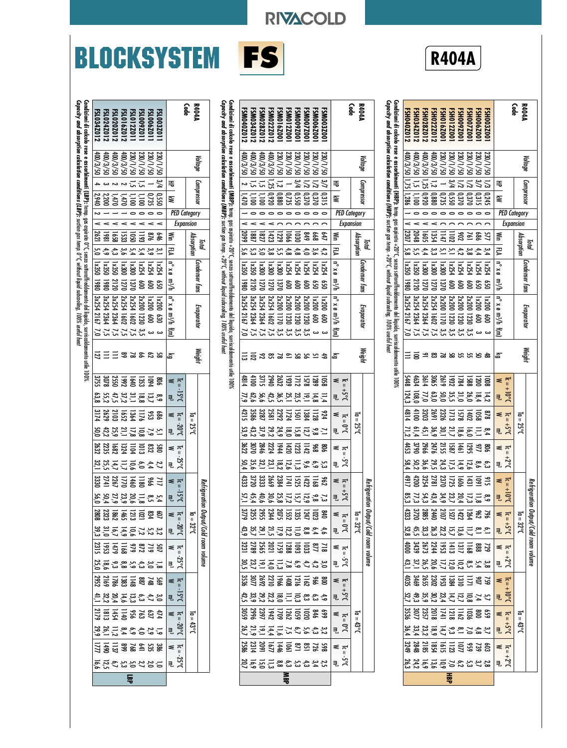## **BLOCKSYSTEM**



**RIVACOLD** 

| <b>R404A</b><br>Code                                                                                                                                                               | Voltage                                                                                                              | Compressor<br>₹                                                                             | ₹<br><b>PED Category</b>                                                                                                                                             | Expansion                               | Š                                                     | Absorption<br>Total<br>引                                             | $9 \times 9$                                                                                                                                 | <b>Condenser fans</b><br>π∛                                            | n° x ø m <sup>3</sup> /h                                                                                                        | Evaporator                                                          | 宣                                              | Weight<br>డ      | ≼ ⊤ູ                                  | $\frac{1}{2}$ $\frac{1}{2}$               | $M = 2$<br>ᄛ                                                   | $\sf II$<br>$J_0S^+$<br>J <sub>2</sub> c<br>킋             | $\leq \frac{1}{2}$            | $5.5^{+}$<br>킋                    | ≤ິີ<br>Refriger                | $\frac{1}{10}$<br>್ಲೆ ಸ        | ation Output/Cold room volume<br>$\leq \frac{1}{n}$                                                                                                                                                                                                                                                                                                                                                                       | $I_0 = 32^{\circ}C$                                                                                                                                                                                               | $\leq \pi$                                                                                                   |                                                                                                                                                                                       | $\leq \frac{1}{n}$                      | $\frac{10}{5}$                                               | $M = \frac{1}{2}$                                     | 3.5 <sub>t</sub><br>ಕ್ಕೆ ಸ್ಥೆ              | $\leqslant$ $\frac{1}{2}$ |                       | $\frac{1}{2}$ $\frac{1}{2}$   |
|------------------------------------------------------------------------------------------------------------------------------------------------------------------------------------|----------------------------------------------------------------------------------------------------------------------|---------------------------------------------------------------------------------------------|----------------------------------------------------------------------------------------------------------------------------------------------------------------------|-----------------------------------------|-------------------------------------------------------|----------------------------------------------------------------------|----------------------------------------------------------------------------------------------------------------------------------------------|------------------------------------------------------------------------|---------------------------------------------------------------------------------------------------------------------------------|---------------------------------------------------------------------|------------------------------------------------|------------------|---------------------------------------|-------------------------------------------|----------------------------------------------------------------|-----------------------------------------------------------|-------------------------------|-----------------------------------|--------------------------------|--------------------------------|---------------------------------------------------------------------------------------------------------------------------------------------------------------------------------------------------------------------------------------------------------------------------------------------------------------------------------------------------------------------------------------------------------------------------|-------------------------------------------------------------------------------------------------------------------------------------------------------------------------------------------------------------------|--------------------------------------------------------------------------------------------------------------|---------------------------------------------------------------------------------------------------------------------------------------------------------------------------------------|-----------------------------------------|--------------------------------------------------------------|-------------------------------------------------------|--------------------------------------------|---------------------------|-----------------------|-------------------------------|
| SH034Z012<br>FSH012Z001<br>00Z600HS-<br>00ZZ00HS:<br>00Z900HS:<br><b>00Z800HS:</b><br><b>SHO40Z012</b><br>SH028Z012<br>SH0222012<br>100Z910HS                                      | 05/8/00#<br>05/8/00<br>230/1/50<br> 05/2/00<br>0S/1/0EZ<br>230/1/50<br>230/1/50<br>230/1/50<br>230/1/50              | $\frac{1}{2}$ $\frac{25}{2}$<br>3/4<br>$\leq \frac{1}{2}$<br>$\leq \leq$<br>$\overline{13}$ | 0.920<br>$\frac{0.880}{2}$<br>0.550<br>0.735<br>0.370<br>0/370<br>0,245<br>$\overline{5}$<br>$38\%$<br>$\circ\circ\circ\circ\circ\circ$                              |                                         | 55 85 85 95 96 96 96 97<br>20 96 96 97 98 99          | ین<br>ما<br>မ္မ<br>$\frac{3}{4}$<br>یج<br>6<br>$\mathbf{r}^{\prime}$ | 1330<br>1350<br>1350<br>005<br>$1\times 300$<br><b>1x254</b><br><b>1x254</b><br><b>N254</b><br><b>N254</b><br><b>N254</b>                    | 2120<br>UZ1<br><b>N21</b><br>1370<br>0861<br>g<br>້ອ<br>ទ្ធ<br>g<br>g3 | 3x254<br>3x254<br>3x254<br>2x200<br>2x254<br>00ZXZ<br>00ZXZ<br>00Z×Z<br>1x200<br>1x200                                          | 1230<br>11170<br>112344<br>1162<br><b>1230</b><br>$\tilde{g}$<br>ទិ | <b>3.3.2.2.2.2.2.</b><br>یں یں<br>سات<br>ده ده | 1992333535       | 1020<br>1221<br>1221<br>1221<br>12321 | $\overline{108}$<br>12.233.32.25<br>124,3 | 818 음호 212 32 32 34 동<br>31 32 32 32 33 34 동                   | 8. 그 은 음 그 없음 유 그 그<br>2                                  | 807<br>50751207268081<br>4453 | 68251528888                       |                                |                                | 78<br>281212128<br>383333                                                                                                                                                                                                                                                                                                                                                                                                 | $\frac{1}{2}$ $\frac{1}{8}$ $\frac{1}{8}$ $\frac{1}{3}$ $\frac{5}{1}$ $\frac{2}{5}$ $\frac{1}{2}$ $\frac{1}{3}$ $\frac{1}{2}$ $\frac{1}{3}$ $\frac{1}{2}$ $\frac{1}{3}$ $\frac{1}{3}$ $\frac{1}{3}$ $\frac{1}{3}$ |                                                                                                              | $\frac{5}{5}$ $\frac{1}{8}$ $\frac{1}{8}$ $\frac{3}{4}$ $\frac{5}{4}$ $\frac{6}{5}$ $\frac{1}{2}$ $\frac{1}{2}$ $\frac{1}{2}$ $\frac{2}{5}$ $\frac{3}{4}$ $\frac{3}{4}$ $\frac{3}{4}$ |                                         | $\frac{5.7587228882}{7.788728822}$                           | \$8 22 12 12 12 13 13 13<br> \$8 12 12 12 13 13 13 13 | <b>ジルアのいはほごおよう</b>                         |                           |                       | マ゙ポム゙ム ン、 ! コ コ コ コ コ コ コ 3 3 |
| <b>R404A</b><br>င်္ဂရ                                                                                                                                                              | Voltage                                                                                                              | Compressor<br>₹                                                                             | ≩                                                                                                                                                                    | <b>PED Category</b><br><b>Expansion</b> | Š                                                     | Absorption<br>Total<br>È                                             | $9 \times 8$                                                                                                                                 | Condenser fans<br>ण∛।                                                  | n°x ø m <sup>3</sup> /h                                                                                                         | Evaporator                                                          | Ξ                                              | Weight           | $\leq \frac{1}{2}$                    | $J°G+$<br>킋                               | ≼                                                              | $1\texttt{u} = 25^\mathrm{o}\texttt{C}$<br>$J_0 = 0$<br>킋 | $\leq \frac{1}{2}$            | -sc<br>큯.                         | $\leq \frac{1}{2}$<br>Refrigel | $\ddot{c}$<br>್ಲೆ ನೆ<br>nollon | $\leq$ $\frac{1}{2}$                                                                                                                                                                                                                                                                                                                                                                                                      | Output/Cold room<br>$Ia = 32^{\circ}C$<br>$\overline{m}^{\circ}$                                                                                                                                                  | $\leqslant$ $\approx$                                                                                        | valume<br>ະຶລ                                                                                                                                                                         | $\leq \frac{1}{2}$                      | 5.54                                                         | $\frac{1}{2}$<br>류                                    | $13^{\circ}C$<br>$\frac{5}{10}$            |                           | $\leqslant$ $\approx$ | ა°<br>აა                      |
| <b>FSM040Z012</b><br><b>5SM034Z012</b><br><b>FSM0222012</b><br><b>FSM006Z00</b><br><b>60Z200WS3</b><br>5M028Z012<br><b>SM016Z001</b><br><b>5 MO12Z00</b><br>00Z600WS:<br>00ZZ00WS: | 1400/3/50<br>0S/8/00t<br>0S/8/00t<br>0S/8/00t<br>0S/1/0EZ<br>230/1/50<br>0S/1/0EZ<br>230/1/50<br>230/1/50<br>0S/1/30 | ដ <b>ដូ</b> ងដ <b>្</b><br>252<br>$\frac{3}{7}$                                             | 0.920<br>088'0<br>0.550<br> 0.370<br>25  <br>       <br>           <br>0,735<br>0.370<br>0,315<br>$\begin{array}{c} \circ \circ \circ \circ \circ \circ \end{array}$ | $\frac{1}{10000}$                       | ន <u>ិត្ត<br/>ខេត្តដូក្តីខ្ព</u><br><b>649</b><br>547 | ม น น<br>ดัน จั<br>4,5<br>ີ                                          | $\frac{1}{25}$<br> x350<br> x350<br><b>1x300</b><br>$1\times 300$<br><b>N254</b><br><b>N254</b><br><b>N254</b><br><b>N254</b><br><b>N254</b> | 121<br>212<br>198<br>UZ1<br>1370<br>ĝ<br>ទ្ធ<br>g<br>້ຮ<br>ទ្ធ         | <br>  3x254 2364<br>  3x254 2364<br>  3x254 2167<br>2x254<br><b>2x200</b><br>00ZXZ<br>00ZXZ<br>00ZXZ<br>00Z<br>00Z <sub>X</sub> | 1170<br>1602<br>ន្ធន្ត<br>g<br>້ອ                                   | 333月 じょうし<br>ೈ<br>ده ده                        | 15.2832825<br>డ్ | 1023<br>1923<br>1923<br>1924<br>1924  | <b>11 プリックスルスルスス</b>                      | 15 22 23 33 34 34<br>25 25 36 36 36 37 37<br>81<br>1128<br>138 |                                                           |                               | 12 32 32 32<br>23 4 4 4 4<br>끊응응응 |                                |                                | $\begin{array}{ l l l l }\hline \texttt{g} & \texttt{g} & \texttt{g} & \texttt{g} & \texttt{g} & \texttt{g} & \texttt{g} & \texttt{g} & \texttt{g} & \texttt{g} & \texttt{g} & \texttt{g} & \texttt{g} & \texttt{g} & \texttt{g} & \texttt{g} & \texttt{g} & \texttt{g} & \texttt{g} & \texttt{g} & \texttt{g} & \texttt{g} & \texttt{g} & \texttt{g} & \texttt{g} & \texttt{g} & \texttt{g} & \texttt{g} & \texttt{g} &$ | <i>もらい</i> こにいかいかね<br>ダイターパンプリング                                                                                                                                                                                  | $ z$ = $\frac{1}{2}$ = $\frac{1}{2}$ = $\frac{1}{2}$ $\frac{1}{2}$ $\frac{1}{2}$ $\frac{1}{2}$ $\frac{1}{2}$ |                                                                                                                                                                                       | 806<br>964 215 2206<br>320 22062<br>323 | 4. 3. 3. 5. 5. 8. 3. 3. 3. 4.<br>ទំន័ន 5. 5. 9 2. 2. 9. 2. 1 |                                                       | 3 おおいびん 1 2 2 2 3<br>2 3 3 4 5 2 2 2 2 2 3 |                           |                       | 234508日にゅうけい                  |

**Condizioni di calcolo rese e assorbimenti (MBP):** temp, gas aspirato +20°C, senza sottoraffreddamento del liquido, surriscaldamento utile 100%<br>**Capacity and absorption calculation conditions (MBP):** suction gas temp. +20° **Condizioni di calcolo rese e assorbimenti (MBP):** temp. gas aspirato +20°C, senza sottoraffreddamento del liquido, surriscaldamento utile 100%

**Capacity and absorption calculation conditions (MBP):** suction gas temp. +20°C, without liquid subcooling, 100% useful heat

| $16 = 30^{\circ}$ C $\left[ 16 = -25^{\circ}$ C $\left[ 16 = -15^{\circ}$ C<br>$n = 25^{\circ}C$<br>ॣॗॗॗ <sub>ॏ</sub><br>42,2<br>25,9<br>21,1<br>17,8<br>ទូ<br>≌<br>$-12632$<br>1324<br>≼<br>225<br>$\overline{5}$<br>ខ្លួ ឌ្ល<br>ឌ្ធ<br>32.1<br>25,<br>$\frac{1}{4}$<br>₹.<br>έě<br>$-13330$<br>$ 226\rangle$<br>1741<br>1180<br>1460<br>0271<br>9ų<br>71<br>ら&ロの225の35メルトリングをしょう。<br>₹<br>8 2 3 3 3 3 3 3 3<br>0 3 3 3 3 3 3 3 3 3<br>≼<br>$\overline{a}$<br>$I_0 = 32^{\circ}$<br>$300^{\circ}C$<br><b>3.2.2.2.2.2.3.8</b> | Refrigeration Output/Cold room volume<br>1. 3. 4. 5. 8. 5. 5. 5. 5.<br>56<br>18 22 32 32 32<br>29 32 32 32 32<br><b>3.4.3.5.4.5.3.4.1.1.</b><br>$\frac{48}{25}$ $\frac{25}{25}$ $\frac{25}{25}$ $\frac{25}{25}$<br>$1a = 43^{\circ}$ |
|-------------------------------------------------------------------------------------------------------------------------------------------------------------------------------------------------------------------------------------------------------------------------------------------------------------------------------------------------------------------------------------------------------------------------------------------------------------------------------------------------------------------------------|--------------------------------------------------------------------------------------------------------------------------------------------------------------------------------------------------------------------------------------|
|                                                                                                                                                                                                                                                                                                                                                                                                                                                                                                                               |                                                                                                                                                                                                                                      |
|                                                                                                                                                                                                                                                                                                                                                                                                                                                                                                                               |                                                                                                                                                                                                                                      |